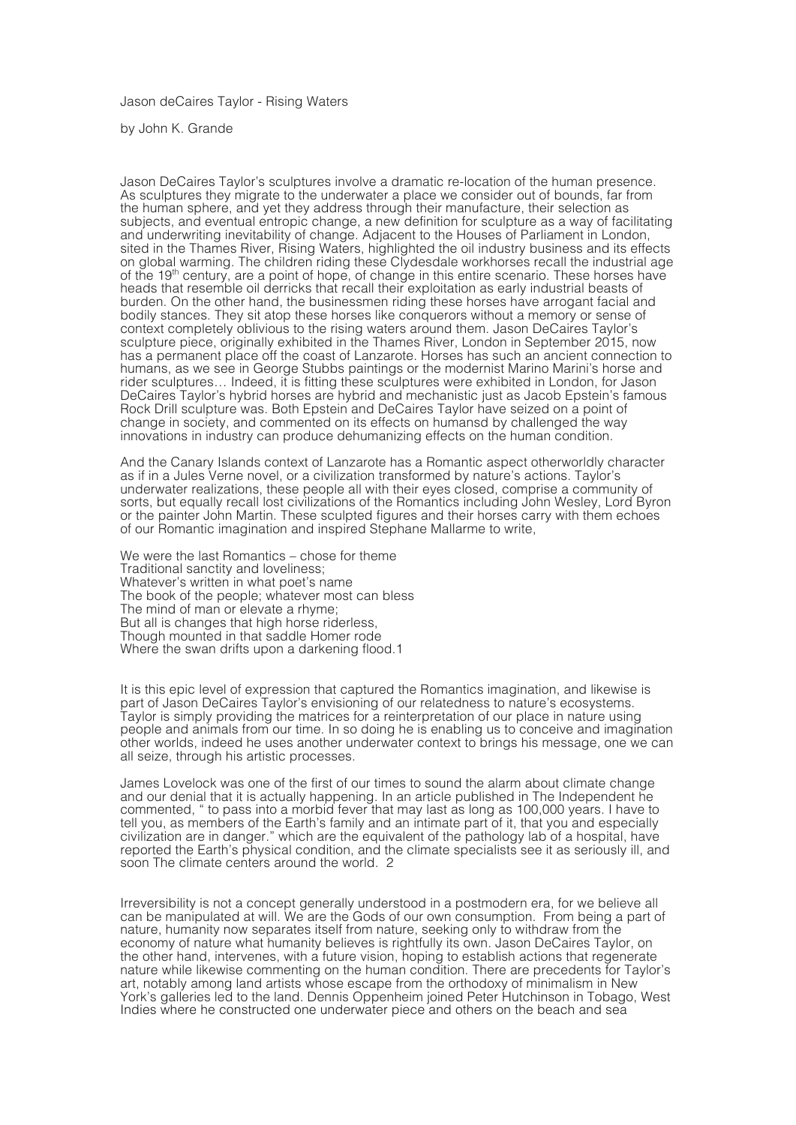Jason deCaires Taylor - Rising Waters

by John K. Grande

Jason DeCaires Taylor's sculptures involve a dramatic re-location of the human presence. As sculptures they migrate to the underwater a place we consider out of bounds, far from the human sphere, and yet they address through their manufacture, their selection as subjects, and eventual entropic change, a new definition for sculpture as a way of facilitating and underwriting inevitability of change. Adjacent to the Houses of Parliament in London, sited in the Thames River, Rising Waters, highlighted the oil industry business and its effects on global warming. The children riding these Clydesdale workhorses recall the industrial age of the 19th century, are a point of hope, of change in this entire scenario. These horses have heads that resemble oil derricks that recall their exploitation as early industrial beasts of burden. On the other hand, the businessmen riding these horses have arrogant facial and bodily stances. They sit atop these horses like conquerors without a memory or sense of context completely oblivious to the rising waters around them. Jason DeCaires Taylor's sculpture piece, originally exhibited in the Thames River, London in September 2015, now has a permanent place off the coast of Lanzarote. Horses has such an ancient connection to humans, as we see in George Stubbs paintings or the modernist Marino Marini's horse and rider sculptures… Indeed, it is fitting these sculptures were exhibited in London, for Jason DeCaires Taylor's hybrid horses are hybrid and mechanistic just as Jacob Epstein's famous Rock Drill sculpture was. Both Epstein and DeCaires Taylor have seized on a point of change in society, and commented on its effects on humansd by challenged the way innovations in industry can produce dehumanizing effects on the human condition.

And the Canary Islands context of Lanzarote has a Romantic aspect otherworldly character as if in a Jules Verne novel, or a civilization transformed by nature's actions. Taylor's underwater realizations, these people all with their eyes closed, comprise a community of sorts, but equally recall lost civilizations of the Romantics including John Wesley, Lord Byron or the painter John Martin. These sculpted figures and their horses carry with them echoes of our Romantic imagination and inspired Stephane Mallarme to write,

We were the last Romantics – chose for theme Traditional sanctity and loveliness; Whatever's written in what poet's name The book of the people; whatever most can bless The mind of man or elevate a rhyme; But all is changes that high horse riderless, Though mounted in that saddle Homer rode Where the swan drifts upon a darkening flood.1

It is this epic level of expression that captured the Romantics imagination, and likewise is part of Jason DeCaires Taylor's envisioning of our relatedness to nature's ecosystems. Taylor is simply providing the matrices for a reinterpretation of our place in nature using people and animals from our time. In so doing he is enabling us to conceive and imagination other worlds, indeed he uses another underwater context to brings his message, one we can all seize, through his artistic processes.

James Lovelock was one of the first of our times to sound the alarm about climate change and our denial that it is actually happening. In an article published in The Independent he commented, " to pass into a morbid fever that may last as long as 100,000 years. I have to tell you, as members of the Earth's family and an intimate part of it, that you and especially civilization are in danger." which are the equivalent of the pathology lab of a hospital, have reported the Earth's physical condition, and the climate specialists see it as seriously ill, and soon The climate centers around the world. 2

Irreversibility is not a concept generally understood in a postmodern era, for we believe all can be manipulated at will. We are the Gods of our own consumption. From being a part of nature, humanity now separates itself from nature, seeking only to withdraw from the economy of nature what humanity believes is rightfully its own. Jason DeCaires Taylor, on the other hand, intervenes, with a future vision, hoping to establish actions that regenerate nature while likewise commenting on the human condition. There are precedents for Taylor's art, notably among land artists whose escape from the orthodoxy of minimalism in New York's galleries led to the land. Dennis Oppenheim joined Peter Hutchinson in Tobago, West Indies where he constructed one underwater piece and others on the beach and sea